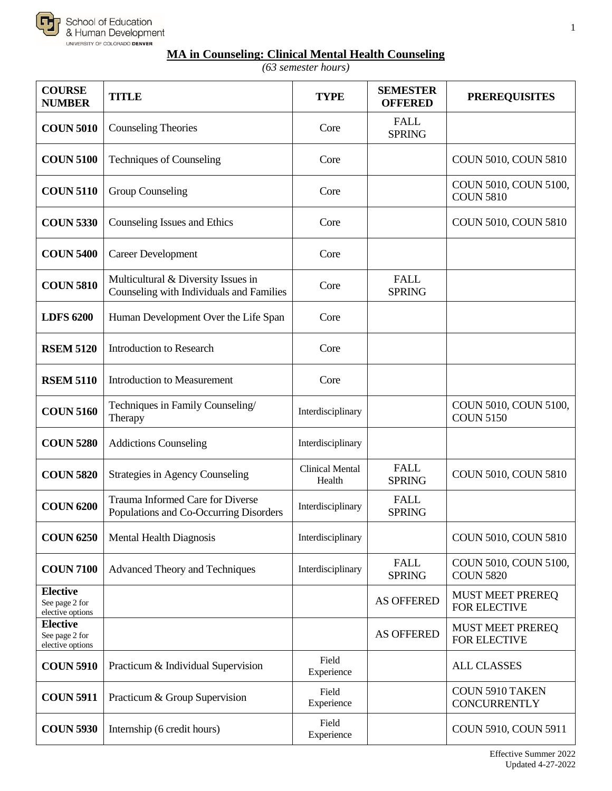

## **MA in Counseling: Clinical Mental Health Counseling**

*(63 semester hours)*

| <b>COURSE</b><br><b>NUMBER</b>                        | <b>TITLE</b>                                                                    | <b>TYPE</b>                      | <b>SEMESTER</b><br><b>OFFERED</b> | <b>PREREQUISITES</b>                           |
|-------------------------------------------------------|---------------------------------------------------------------------------------|----------------------------------|-----------------------------------|------------------------------------------------|
| <b>COUN 5010</b>                                      | <b>Counseling Theories</b>                                                      | Core                             | <b>FALL</b><br><b>SPRING</b>      |                                                |
| <b>COUN 5100</b>                                      | <b>Techniques of Counseling</b>                                                 | Core                             |                                   | COUN 5010, COUN 5810                           |
| <b>COUN 5110</b>                                      | Group Counseling                                                                | Core                             |                                   | COUN 5010, COUN 5100,<br><b>COUN 5810</b>      |
| <b>COUN 5330</b>                                      | Counseling Issues and Ethics                                                    | Core                             |                                   | COUN 5010, COUN 5810                           |
| <b>COUN 5400</b>                                      | <b>Career Development</b>                                                       | Core                             |                                   |                                                |
| <b>COUN 5810</b>                                      | Multicultural & Diversity Issues in<br>Counseling with Individuals and Families | Core                             | <b>FALL</b><br><b>SPRING</b>      |                                                |
| <b>LDFS 6200</b>                                      | Human Development Over the Life Span                                            | Core                             |                                   |                                                |
| <b>RSEM 5120</b>                                      | <b>Introduction to Research</b>                                                 | Core                             |                                   |                                                |
| <b>RSEM 5110</b>                                      | <b>Introduction to Measurement</b>                                              | Core                             |                                   |                                                |
| <b>COUN 5160</b>                                      | Techniques in Family Counseling/<br>Therapy                                     | Interdisciplinary                |                                   | COUN 5010, COUN 5100,<br><b>COUN 5150</b>      |
| <b>COUN 5280</b>                                      | <b>Addictions Counseling</b>                                                    | Interdisciplinary                |                                   |                                                |
| <b>COUN 5820</b>                                      | <b>Strategies in Agency Counseling</b>                                          | <b>Clinical Mental</b><br>Health | <b>FALL</b><br><b>SPRING</b>      | COUN 5010, COUN 5810                           |
| <b>COUN 6200</b>                                      | Trauma Informed Care for Diverse<br>Populations and Co-Occurring Disorders      | Interdisciplinary                | <b>FALL</b><br><b>SPRING</b>      |                                                |
| <b>COUN 6250</b>                                      | <b>Mental Health Diagnosis</b>                                                  | Interdisciplinary                |                                   | COUN 5010, COUN 5810                           |
| <b>COUN 7100</b>                                      | Advanced Theory and Techniques                                                  | Interdisciplinary                | <b>FALL</b><br><b>SPRING</b>      | COUN 5010, COUN 5100,<br><b>COUN 5820</b>      |
| <b>Elective</b><br>See page 2 for<br>elective options |                                                                                 |                                  | <b>AS OFFERED</b>                 | <b>MUST MEET PREREQ</b><br>FOR ELECTIVE        |
| <b>Elective</b><br>See page 2 for<br>elective options |                                                                                 |                                  | <b>AS OFFERED</b>                 | <b>MUST MEET PREREQ</b><br><b>FOR ELECTIVE</b> |
| <b>COUN 5910</b>                                      | Practicum & Individual Supervision                                              | Field<br>Experience              |                                   | <b>ALL CLASSES</b>                             |
| <b>COUN 5911</b>                                      | Practicum & Group Supervision                                                   | Field<br>Experience              |                                   | <b>COUN 5910 TAKEN</b><br><b>CONCURRENTLY</b>  |
| <b>COUN 5930</b>                                      | Internship (6 credit hours)                                                     | Field<br>Experience              |                                   | COUN 5910, COUN 5911                           |